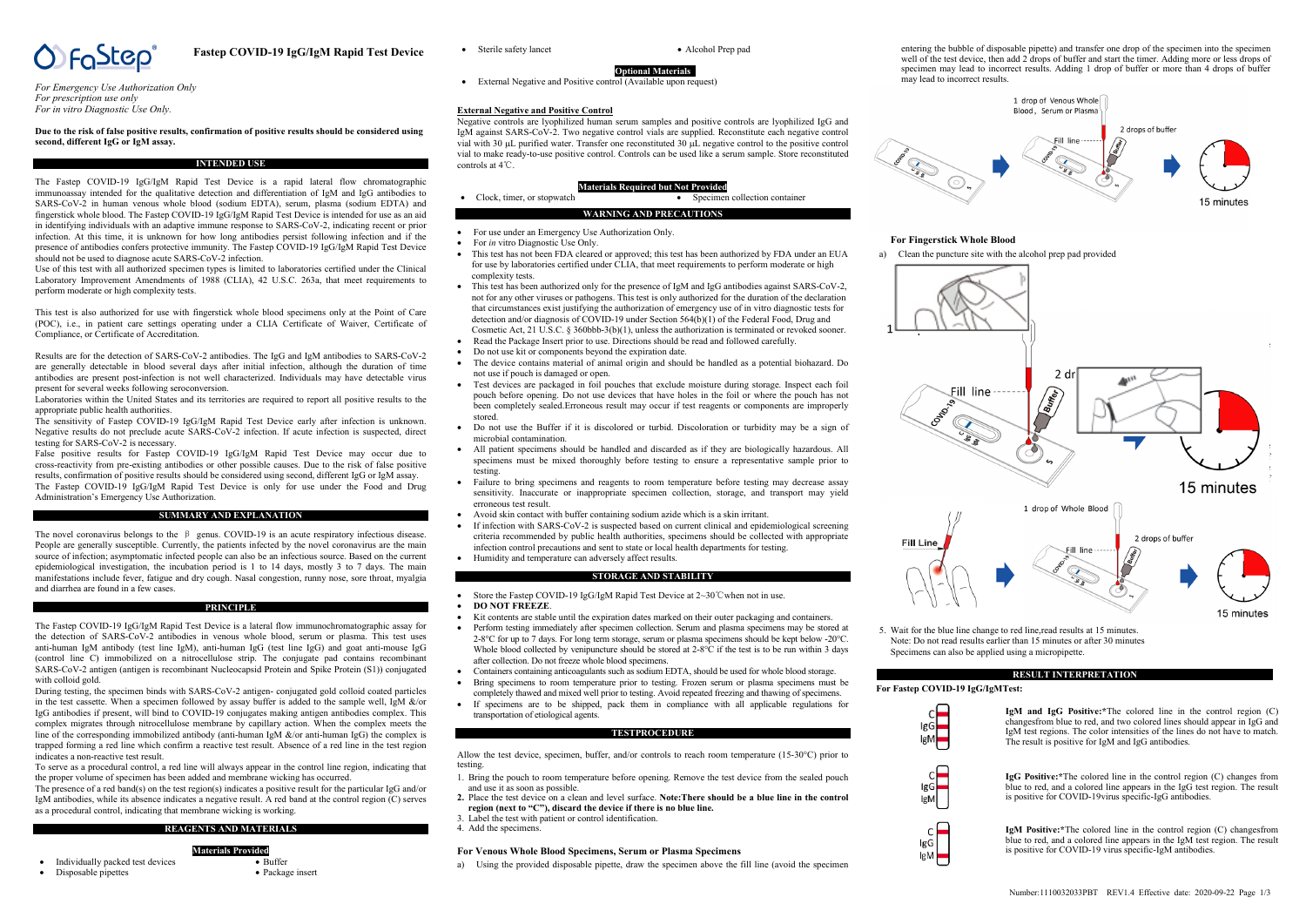

**Fastep COVID-19 IgG/IgM Rapid Test Device**

*For Emergency Use Authorization Only For prescription use only For in vitro Diagnostic Use Only.*

## **Due to the risk of false positive results, confirmation of positive results should be considered using second, different IgG or IgM assay.**

## **INTENDED USE**

The Fastep COVID-19 IgG/IgM Rapid Test Device is a rapid lateral flow chromatographic immunoassay intended for the qualitative detection and differentiation of IgM and IgG antibodies to SARS-CoV-2 in human venous whole blood (sodium EDTA), serum, plasma (sodium EDTA) and fingerstick whole blood. The Fastep COVID-19 IgG/IgM Rapid Test Device is intended for use as an aid in identifying individuals with an adaptive immune response to SARS-CoV-2, indicating recent or prior infection. At this time, it is unknown for how long antibodies persist following infection and if the presence of antibodies confers protective immunity. The Fastep COVID-19 IgG/IgM Rapid Test Device should not be used to diagnose acute SARS-CoV-2 infection.

Use of this test with all authorized specimen types is limited to laboratories certified under the Clinical Laboratory Improvement Amendments of 1988 (CLIA), 42 U.S.C. 263a, that meet requirements to perform moderate or high complexity tests.

This test is also authorized for use with fingerstick whole blood specimens only at the Point of Care (POC), i.e., in patient care settings operating under a CLIA Certificate of Waiver, Certificate of Compliance, or Certificate of Accreditation.

Results are for the detection of SARS-CoV-2 antibodies. The IgG and IgM antibodies to SARS-CoV-2 are generally detectable in blood several days after initial infection, although the duration of time antibodies are present post-infection is not well characterized. Individuals may have detectable virus present for several weeks following seroconversion.

Laboratories within the United States and its territories are required to report all positive results to the appropriate public health authorities.

The sensitivity of Fastep COVID-19 IgG/IgM Rapid Test Device early after infection is unknown. Negative results do not preclude acute SARS-CoV-2 infection. If acute infection is suspected, direct testing for SARS-CoV-2 is necessary.

False positive results for Fastep COVID-19 IgG/IgM Rapid Test Device may occur due to cross-reactivity from pre-existing antibodies or other possible causes. Due to the risk of false positive results, confirmation of positive results should be considered using second, different IgG or IgM assay.

The Fastep COVID-19 IgG/IgM Rapid Test Device is only for use under the Food and Drug Administration's Emergency Use Authorization.

#### **SUMMARY AND EXPLANATION**

The novel coronavirus belongs to the  $\beta$  genus. COVID-19 is an acute respiratory infectious disease. People are generally susceptible. Currently, the patients infected by the novel coronavirus are the main source of infection; asymptomatic infected people can also be an infectious source. Based on the current epidemiological investigation, the incubation period is 1 to 14 days, mostly 3 to 7 days. The main manifestations include fever, fatigue and dry cough. Nasal congestion, runny nose, sore throat, myalgia and diarrhea are found in a few cases.

#### **PRINCIPLE**

The Fastep COVID-19 IgG/IgM Rapid Test Device is a lateral flow immunochromatographic assay for the detection of SARS-CoV-2 antibodies in venous whole blood, serum or plasma. This test uses anti-human IgM antibody (test line IgM), anti-human IgG (test line  $\log($ ) and goat anti-mouse IgG (control line C) immobilized on a nitrocellulose strip. The conjugate pad contains recombinant SARS-CoV-2 antigen (antigen is recombinant Nucleocapsid Protein and Spike Protein (S1)) conjugated with colloid gold.

During testing, the specimen binds with SARS-CoV-2 antigen- conjugated gold colloid coated particles in the test cassette. When a specimen followed by assay buffer is added to the sample well, IgM &/or IgG antibodies if present, will bind to COVID-19 conjugates making antigen antibodies complex. This complex migrates through nitrocellulose membrane by capillary action. When the complex meets the line of the corresponding immobilized antibody (anti-human IgM  $\&$ /or anti-human IgG) the complex is trapped forming a red line which confirm a reactive test result. Absence of a red line in the test region indicates a non-reactive test result.

To serve as a procedural control, a red line will always appear in the control line region, indicating that the proper volume of specimen has been added and membrane wicking has occurred.

The presence of a red band(s) on the test region(s) indicates a positive result for the particular IgG and/or IgM antibodies, while its absence indicates a negative result. A red band at the control region (C) serves as a procedural control, indicating that membrane wicking is working.

## **REAGENTS AND MATERIALS**

• Package insert

**Materials Provided**  $\overline{P_{\text{u}}f_{\text{ter}}}$ 

- Individually packed test devices • Disposable pipettes
- 

• Sterile safety lancet • Alcohol Prep pad

**Optional Materials**  • External Negative and Positive control (Available upon request)

#### **External Negative and Positive Control**

Negative controls are lyophilized human serum samples and positive controls are lyophilized IgG and IgM against SARS-CoV-2. Two negative control vials are supplied. Reconstitute each negative control vial with 30 µL purified water. Transfer one reconstituted 30 µL negative control to the positive control vial to make ready-to-use positive control. Controls can be used like a serum sample. Store reconstituted controls at 4℃.

#### **Materials Required but Not Provided**

| Clock, timer, or stopwatch |                                | Specimen collection container |
|----------------------------|--------------------------------|-------------------------------|
|                            | <b>WARNING AND PRECAUTIONS</b> |                               |

- For use under an Emergency Use Authorization Only
- For *in* vitro Diagnostic Use Only.
- This test has not been FDA cleared or approved; this test has been authorized by FDA under an EUA for use by laboratories certified under CLIA, that meet requirements to perform moderate or high complexity tests.
- This test has been authorized only for the presence of IgM and IgG antibodies against SARS-CoV-2, not for any other viruses or pathogens. This test is only authorized for the duration of the declaration that circumstances exist justifying the authorization of emergency use of in vitro diagnostic tests for detection and/or diagnosis of COVID-19 under Section 564(b)(1) of the Federal Food, Drug and Cosmetic Act, 21 U.S.C. § 360bbb-3(b)(1), unless the authorization is terminated or revoked sooner.
- Read the Package Insert prior to use. Directions should be read and followed carefully.
- Do not use kit or components beyond the expiration date.
- The device contains material of animal origin and should be handled as a potential biohazard. Do not use if pouch is damaged or open.
- Test devices are packaged in foil pouches that exclude moisture during storage. Inspect each foil pouch before opening. Do not use devices that have holes in the foil or where the pouch has not been completely sealed.Erroneous result may occur if test reagents or components are improperly stored.
- Do not use the Buffer if it is discolored or turbid. Discoloration or turbidity may be a sign of microbial contamination.
- All patient specimens should be handled and discarded as if they are biologically hazardous. All specimens must be mixed thoroughly before testing to ensure a representative sample prior to testing.
- Failure to bring specimens and reagents to room temperature before testing may decrease assay sensitivity. Inaccurate or inappropriate specimen collection, storage, and transport may yield erroneous test result.
- Avoid skin contact with buffer containing sodium azide which is a skin irritant.
- If infection with SARS-CoV-2 is suspected based on current clinical and epidemiological screening criteria recommended by public health authorities, specimens should be collected with appropriate infection control precautions and sent to state or local health departments for testing.
- Humidity and temperature can adversely affect results.

## **STORAGE AND STABILITY**

- Store the Fastep COVID-19 IgG/IgM Rapid Test Device at 2~30℃when not in use.
- **DO NOT FREEZE**.
- Kit contents are stable until the expiration dates marked on their outer packaging and containers.
- Perform testing immediately after specimen collection. Serum and plasma specimens may be stored at 2-8°C for up to 7 days. For long term storage, serum or plasma specimens should be kept below -20°C. Whole blood collected by venipuncture should be stored at 2-8°C if the test is to be run within 3 days after collection. Do not freeze whole blood specimens.
- Containers containing anticoagulants such as sodium EDTA, should be used for whole blood storage.
- Bring specimens to room temperature prior to testing. Frozen serum or plasma specimens must be completely thawed and mixed well prior to testing. Avoid repeated freezing and thawing of specimens.
- If specimens are to be shipped, pack them in compliance with all applicable regulations for transportation of etiological agents.

#### **TESTPROCEDURE**

Allow the test device, specimen, buffer, and/or controls to reach room temperature (15-30°C) prior to testing.

- 1. Bring the pouch to room temperature before opening. Remove the test device from the sealed pouch and use it as soon as possible.
- **2.** Place the test device on a clean and level surface. **Note:There should be a blue line in the control region (next to "C"), discard the device if there is no blue line.**
- 3. Label the test with patient or control identification.

4. Add the specimens.

#### **For Venous Whole Blood Specimens, Serum or Plasma Specimens**

a) Using the provided disposable pipette, draw the specimen above the fill line (avoid the specimen





## **For Fingerstick Whole Blood**

a) Clean the puncture site with the alcohol prep pad provided



5. Wait for the blue line change to red line,read results at 15 minutes. Note: Do not read results earlier than 15 minutes or after 30 minutes Specimens can also be applied using a micropipette.

## **RESULT INTERPRETATION**

## **For Fastep COVID-19 IgG/IgMTest:**



**IgM and IgG Positive:\***The colored line in the control region (C) changesfrom blue to red, and two colored lines should appear in IgG and IgM test regions. The color intensities of the lines do not have to match. The result is positive for IgM and IgG antibodies.



**IgG Positive:\***The colored line in the control region (C) changes from blue to red, and a colored line appears in the IgG test region. The result is positive for COVID-19virus specific-IgG antibodies.



**IgM Positive:\***The colored line in the control region (C) changesfrom blue to red, and a colored line appears in the IgM test region. The result is positive for COVID-19 virus specific-IgM antibodies.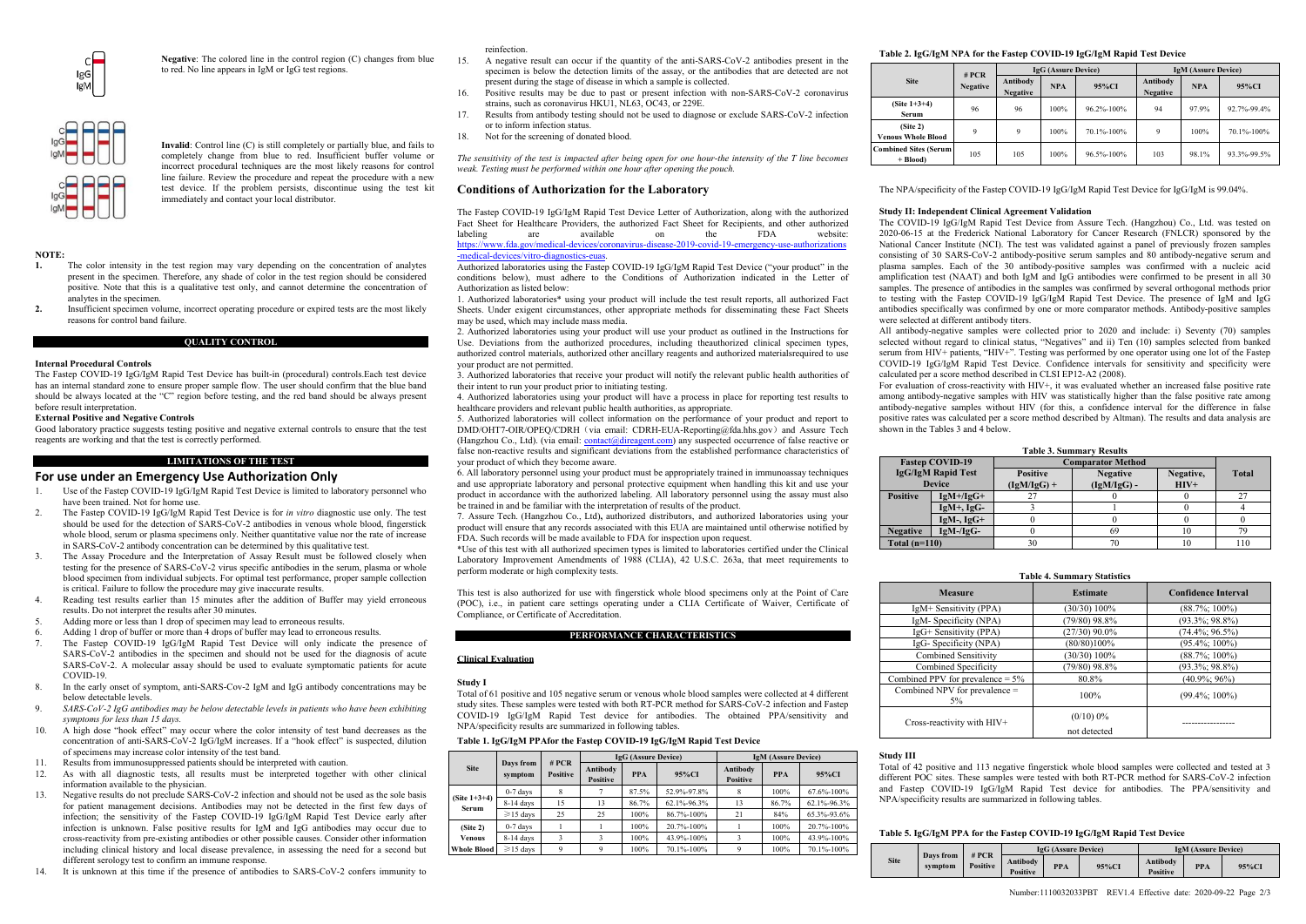

**Negative**: The colored line in the control region (C) changes from blue to red. No line appears in IgM or IgG test regions.



**Invalid**: Control line (C) is still completely or partially blue, and fails to completely change from blue to red. Insufficient buffer volume or incorrect procedural techniques are the most likely reasons for control line failure. Review the procedure and repeat the procedure with a new test device. If the problem persists, discontinue using the test kit

**NOTE:**

**1.** The color intensity in the test region may vary depending on the concentration of analytes present in the specimen. Therefore, any shade of color in the test region should be considered positive. Note that this is a qualitative test only, and cannot determine the concentration of analytes in the specimen.

immediately and contact your local distributor.

**2.** Insufficient specimen volume, incorrect operating procedure or expired tests are the most likely reasons for control band failure.

**QUALITY CONTROL**

#### **Internal Procedural Controls**

The Fastep COVID-19 IgG/IgM Rapid Test Device has built-in (procedural) controls.Each test device has an internal standard zone to ensure proper sample flow. The user should confirm that the blue band should be always located at the "C" region before testing, and the red band should be always present before result interpretation.

#### **External Positive and Negative Controls**

Good laboratory practice suggests testing positive and negative external controls to ensure that the test reagents are working and that the test is correctly performed.

**LIMITATIONS OF THE TEST**

#### **For use under an Emergency Use Authorization Only**

- 1. Use of the Fastep COVID-19 IgG/IgM Rapid Test Device is limited to laboratory personnel who have been trained. Not for home use.
- 2. The Fastep COVID-19 IgG/IgM Rapid Test Device is for *in vitro* diagnostic use only. The test should be used for the detection of  $SARS-CoV-2$  antibodies in venous whole blood, fingerstick whole blood, serum or plasma specimens only. Neither quantitative value nor the rate of increase in SARS-CoV-2 antibody concentration can be determined by this qualitative test.
- 3. The Assay Procedure and the Interpretation of Assay Result must be followed closely when testing for the presence of SARS-CoV-2 virus specific antibodies in the serum, plasma or whole blood specimen from individual subjects. For optimal test performance, proper sample collection is critical. Failure to follow the procedure may give inaccurate results.
- 4. Reading test results earlier than 15 minutes after the addition of Buffer may yield erroneous results. Do not interpret the results after 30 minutes.
- 5. Adding more or less than 1 drop of specimen may lead to erroneous results.<br>6. Adding 1 drop of buffer or more than 4 drops of buffer may lead to erroneous
- Adding 1 drop of buffer or more than 4 drops of buffer may lead to erroneous results.
- The Fastep COVID-19 IgG/IgM Rapid Test Device will only indicate the presence of SARS-CoV-2 antibodies in the specimen and should not be used for the diagnosis of acute SARS-CoV-2. A molecular assay should be used to evaluate symptomatic patients for acute COVID-19.
- In the early onset of symptom, anti-SARS-Cov-2 IgM and IgG antibody concentrations may be below detectable levels.
- 9. *SARS-CoV-2 IgG antibodies may be below detectable levels in patients who have been exhibiting symptoms for less than 15 days.*
- 10. A high dose "hook effect" may occur where the color intensity of test band decreases as the concentration of anti-SARS-CoV-2 IgG/IgM increases. If a "hook effect" is suspected, dilution of specimens may increase color intensity of the test band.
- 11. Results from immunosuppressed patients should be interpreted with caution.<br>12. As with all diagnostic tests all results must be interpreted together
- 12. As with all diagnostic tests, all results must be interpreted together with other clinical information available to the physician.
- 13. Negative results do not preclude SARS-CoV-2 infection and should not be used as the sole basis for patient management decisions. Antibodies may not be detected in the first few days of infection; the sensitivity of the Fastep COVID-19 IgG/IgM Rapid Test Device early after infection is unknown. False positive results for IgM and IgG antibodies may occur due to cross-reactivity from pre-existing antibodies or other possible causes. Consider other information including clinical history and local disease prevalence, in assessing the need for a second but different serology test to confirm an immune response.
- It is unknown at this time if the presence of antibodies to SARS-CoV-2 confers immunity to

#### reinfection.

- 15. A negative result can occur if the quantity of the anti-SARS-CoV-2 antibodies present in the specimen is below the detection limits of the assay, or the antibodies that are detected are not present during the stage of disease in which a sample is collected.
- 16. Positive results may be due to past or present infection with non-SARS-CoV-2 coronavirus strains, such as coronavirus HKU1, NL63, OC43, or 229E.
- 17. Results from antibody testing should not be used to diagnose or exclude SARS-CoV-2 infection or to inform infection status.
- 18. Not for the screening of donated blood.

*The sensitivity of the test is impacted after being open for one hour-the intensity of the T line becomes weak. Testing must be performed within one hour after opening the pouch.* 

## **Conditions of Authorization for the Laboratory**

The Fastep COVID-19 IgG/IgM Rapid Test Device Letter of Authorization, along with the authorized Fact Sheet for Healthcare Providers, the authorized Fact Sheet for Recipients, and other authorized labeling are available on the FDA website: labeling are available on the FDA website:<br>[https://www.fda.gov/medical-devices/coronavirus-disease-2019-covid-19-emergency-use-authorizations](https://www.fda.gov/medical-devices/coronavirus-disease-2019-covid-19-emergency-use-authorizations-medical-devices/vitro-diagnostics-euas)

## [-medical-devices/vitro-diagnostics-euas.](https://www.fda.gov/medical-devices/coronavirus-disease-2019-covid-19-emergency-use-authorizations-medical-devices/vitro-diagnostics-euas)

Authorized laboratories using the Fastep COVID-19 IgG/IgM Rapid Test Device ("your product" in the conditions below), must adhere to the Conditions of Authorization indicated in the Letter of Authorization as listed below:

1. Authorized laboratories\* using your product will include the test result reports, all authorized Fact Sheets. Under exigent circumstances, other appropriate methods for disseminating these Fact Sheets may be used, which may include mass media.

2. Authorized laboratories using your product will use your product as outlined in the Instructions for Use. Deviations from the authorized procedures, including theauthorized clinical specimen types, authorized control materials, authorized other ancillary reagents and authorized materialsrequired to use your product are not permitted.

3. Authorized laboratories that receive your product will notify the relevant public health authorities of their intent to run your product prior to initiating testing.

4. Authorized laboratories using your product will have a process in place for reporting test results to healthcare providers and relevant public health authorities, as appropriate.

5. Authorized laboratories will collect information on the performance of your product and report to DMD/OHT7-OIR/OPEQ/CDRH (via email: CDRH-EUA-Reporting@fda.hhs.gov) and Assure Tech (Hangzhou Co., Ltd). (via email[: contact@direagent.com\)](mailto:contact@direagent.com) any suspected occurrence of false reactive or false non-reactive results and significant deviations from the established performance characteristics of your product of which they become aware.

6. All laboratory personnel using your product must be appropriately trained in immunoassay techniques and use appropriate laboratory and personal protective equipment when handling this kit and use your product in accordance with the authorized labeling. All laboratory personnel using the assay must also be trained in and be familiar with the interpretation of results of the product.

7. Assure Tech. (Hangzhou Co., Ltd)**,** authorized distributors, and authorized laboratories using your product will ensure that any records associated with this EUA are maintained until otherwise notified by FILITE.<br>FDA. Such records will be made available to FDA for inspection upon request.

\*Use of this test with all authorized specimen types is limited to laboratories certified under the Clinical Laboratory Improvement Amendments of 1988 (CLIA), 42 U.S.C. 263a, that meet requirements to perform moderate or high complexity tests.

This test is also authorized for use with fingerstick whole blood specimens only at the Point of Care (POC), i.e., in patient care settings operating under a CLIA Certificate of Waiver, Certificate of Compliance, or Certificate of Accreditation.

#### **PERFORMANCE CHARACTERISTICS**

#### **Clinical Evaluation**

#### **Study I**

Total of 61 positive and 105 negative serum or venous whole blood samples were collected at 4 different study sites. These samples were tested with both RT-PCR method for SARS-CoV-2 infection and Fastep COVID-19 IgG/IgM Rapid Test device for antibodies. The obtained PPA/sensitivity and NPA/specificity results are summarized in following tables.

#### **Table 1. IgG/IgM PPAfor the Fastep COVID-19 IgG/IgM Rapid Test Device**

|                          |                      | # PCR<br><b>Positive</b> |                                    | <b>IgG</b> (Assure Device) |             | <b>IgM (Assure Device)</b>  |            |             |  |
|--------------------------|----------------------|--------------------------|------------------------------------|----------------------------|-------------|-----------------------------|------------|-------------|--|
| <b>Site</b>              | Days from<br>symptom |                          | Antibody<br><b>PPA</b><br>Positive |                            | 95%CI       | Antibody<br><b>Positive</b> | <b>PPA</b> | 95%CI       |  |
|                          | $0-7$ days           | 8                        |                                    | 87.5%                      | 52.9%-97.8% |                             | 100%       | 67.6%-100%  |  |
| (Site $1+3+4$ )<br>Serum | $8-14$ days          | 15                       | 13                                 | 86.7%                      | 62.1%-96.3% | 13                          | 86.7%      | 62.1%-96.3% |  |
|                          | $\geq$ 15 davs       | 25                       | 25                                 | 100%                       | 86.7%-100%  | 21                          | 84%        | 65.3%-93.6% |  |
| (Site 2)                 | $0-7$ days           |                          |                                    | 100%                       | 20.7%-100%  |                             | 100%       | 20.7%-100%  |  |
| <b>Venous</b>            | $8-14$ days          | 3                        |                                    | 100%                       | 43.9%-100%  | 3                           | 100%       | 43.9%-100%  |  |
| <b>Whole Blood</b>       | $\geq$ 15 davs       | $\mathbf Q$              | Q                                  | 100%                       | 70.1%-100%  | $\Omega$                    | 100%       | 70.1%-100%  |  |

## **Table 2. IgG/IgM NPA for the Fastep COVID-19 IgG/IgM Rapid Test Device**

|                                                   |                            |                             | <b>IgG</b> (Assure Device) |            | <b>IgM</b> (Assure Device)  |            |             |  |
|---------------------------------------------------|----------------------------|-----------------------------|----------------------------|------------|-----------------------------|------------|-------------|--|
| <b>Site</b>                                       | # $PCR$<br><b>Negative</b> | Antibody<br><b>Negative</b> | <b>NPA</b>                 | 95%CI      | Antibody<br><b>Negative</b> | <b>NPA</b> | 95%CI       |  |
| $(Site 1+3+4)$<br>Serum                           | 96                         | 96                          | 100%                       | 96.2%-100% | 94                          | 97.9%      | 92.7%-99.4% |  |
| (Site <sub>2</sub> )<br><b>Venous Whole Blood</b> | $\mathbf Q$                | $\mathbf Q$                 | 100%                       | 70.1%-100% | 9                           | 100%       | 70.1%-100%  |  |
| <b>Combined Sites (Serum)</b><br>$+ Blood$        | 105                        | 105                         | 100%                       | 96.5%-100% | 103                         | 98.1%      | 93.3%-99.5% |  |

The NPA/specificity of the Fastep COVID-19 IgG/IgM Rapid Test Device for IgG/IgM is 99.04%.

## **Study II: Independent Clinical Agreement Validation**

The COVID-19 IgG/IgM Rapid Test Device from Assure Tech. (Hangzhou) Co., Ltd. was tested on 2020-06-15 at the Frederick National Laboratory for Cancer Research (FNLCR) sponsored by the National Cancer Institute (NCI). The test was validated against a panel of previously frozen samples consisting of 30 SARS-CoV-2 antibody-positive serum samples and 80 antibody-negative serum and plasma samples. Each of the 30 antibody-positive samples was confirmed with a nucleic acid amplification test (NAAT) and both IgM and IgG antibodies were confirmed to be present in all 30 samples. The presence of antibodies in the samples was confirmed by several orthogonal methods prior to testing with the Fastep COVID-19 IgG/IgM Rapid Test Device. The presence of IgM and IgG antibodies specifically was confirmed by one or more comparator methods. Antibody-positive samples were selected at different antibody titers.

All antibody-negative samples were collected prior to 2020 and include: i) Seventy (70) samples selected without regard to clinical status, "Negatives" and ii) Ten (10) samples selected from banked served which is equivalent to the matter of the Fastep serum from HIV+ patients, "HIV+". Testing was performed by one operator using one lot of the Fastep COVID-19 IgG/IgM Rapid Test Device. Confidence intervals for sensitivity and specificity were calculated per a score method described in CLSI EP12-A2 (2008).

For evaluation of cross-reactivity with HIV+, it was evaluated whether an increased false positive rate among antibody-negative samples with HIV was statistically higher than the false positive rate among antibody-negative samples without HIV (for this, a confidence interval for the difference in false positive rates was calculated per a score method described by Altman). The results and data analysis are shown in the Tables 3 and 4 below.

| <b>Table 3. Summary Results</b> |                                            |                                  |                                  |                     |              |  |  |  |  |
|---------------------------------|--------------------------------------------|----------------------------------|----------------------------------|---------------------|--------------|--|--|--|--|
|                                 | <b>Fastep COVID-19</b>                     | <b>Comparator Method</b>         |                                  |                     |              |  |  |  |  |
|                                 | <b>IgG/IgM Rapid Test</b><br><b>Device</b> | <b>Positive</b><br>$(IgM/IgG) +$ | <b>Negative</b><br>$(IgM/IgG)$ - | Negative,<br>$HIV+$ | <b>Total</b> |  |  |  |  |
| <b>Positive</b>                 | $IgM+/IgG+$                                | 21                               |                                  |                     | 27           |  |  |  |  |
|                                 | $IgM+$ , $IgG-$                            |                                  |                                  |                     |              |  |  |  |  |
|                                 | $IgM-$ , $IgG+$                            |                                  |                                  |                     |              |  |  |  |  |
| <b>Negative</b>                 | $IgM-IgG-$                                 |                                  | 69                               | 10                  | 79           |  |  |  |  |
| Total $(n=110)$                 |                                            | 30                               | 70                               | 10                  | 110          |  |  |  |  |

#### **Table 4. Summary Statistics**

| <b>Measure</b>                      | <b>Estimate</b>              | <b>Confidence Interval</b> |  |  |
|-------------------------------------|------------------------------|----------------------------|--|--|
| IgM+ Sensitivity (PPA)              | (30/30) 100%                 | $(88.7\%; 100\%)$          |  |  |
| IgM-Specificity (NPA)               | $(79/80)$ 98.8%              | $(93.3\%; 98.8\%)$         |  |  |
| IgG+ Sensitivity (PPA)              | $(27/30)$ 90.0%              | $(74.4\%; 96.5\%)$         |  |  |
| IgG-Specificity (NPA)               | (80/80)100%                  | $(95.4\%; 100\%)$          |  |  |
| <b>Combined Sensitivity</b>         | (30/30) 100%                 | $(88.7\%; 100\%)$          |  |  |
| Combined Specificity                | (79/80) 98.8%                | $(93.3\%; 98.8\%)$         |  |  |
| Combined PPV for prevalence $= 5\%$ | 80.8%                        | $(40.9\%; 96\%)$           |  |  |
| Combined NPV for prevalence =<br>5% | 100%                         | $(99.4\%; 100\%)$          |  |  |
| Cross-reactivity with HIV+          | $(0/10) 0\%$<br>not detected |                            |  |  |

#### **Study III**

Total of 42 positive and 113 negative fingerstick whole blood samples were collected and tested at 3 different POC sites. These samples were tested with both RT-PCR method for SARS-CoV-2 infection and Fastep COVID-19 IgG/IgM Rapid Test device for antibodies. The PPA/sensitivity and NPA/specificity results are summarized in following tables.

## **Table 5. IgG/IgM PPA for the Fastep COVID-19 IgG/IgM Rapid Test Device**

|             | Days from |                          |                             | <b>IgG</b> (Assure Device) |       | <b>IgM</b> (Assure Device)  |            |       |
|-------------|-----------|--------------------------|-----------------------------|----------------------------|-------|-----------------------------|------------|-------|
| <b>Site</b> | symptom   | # PCR<br><b>Positive</b> | Antibody<br><b>Positive</b> | <b>PPA</b>                 | 95%CI | <b>Antibody</b><br>Positive | <b>PPA</b> | 95%CI |